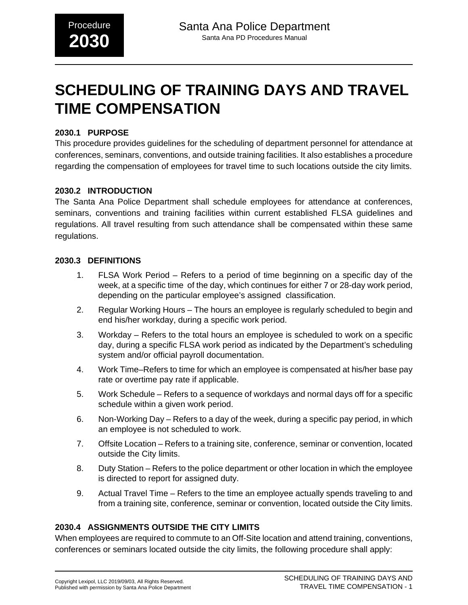# **SCHEDULING OF TRAINING DAYS AND TRAVEL TIME COMPENSATION**

#### **2030.1 PURPOSE**

This procedure provides guidelines for the scheduling of department personnel for attendance at conferences, seminars, conventions, and outside training facilities. It also establishes a procedure regarding the compensation of employees for travel time to such locations outside the city limits.

#### **2030.2 INTRODUCTION**

The Santa Ana Police Department shall schedule employees for attendance at conferences, seminars, conventions and training facilities within current established FLSA guidelines and regulations. All travel resulting from such attendance shall be compensated within these same regulations.

#### **2030.3 DEFINITIONS**

- 1. FLSA Work Period Refers to a period of time beginning on a specific day of the week, at a specific time of the day, which continues for either 7 or 28-day work period, depending on the particular employee's assigned classification.
- 2. Regular Working Hours The hours an employee is regularly scheduled to begin and end his/her workday, during a specific work period.
- 3. Workday Refers to the total hours an employee is scheduled to work on a specific day, during a specific FLSA work period as indicated by the Department's scheduling system and/or official payroll documentation.
- 4. Work Time–Refers to time for which an employee is compensated at his/her base pay rate or overtime pay rate if applicable.
- 5. Work Schedule Refers to a sequence of workdays and normal days off for a specific schedule within a given work period.
- 6. Non-Working Day Refers to a day of the week, during a specific pay period, in which an employee is not scheduled to work.
- 7. Offsite Location Refers to a training site, conference, seminar or convention, located outside the City limits.
- 8. Duty Station Refers to the police department or other location in which the employee is directed to report for assigned duty.
- 9. Actual Travel Time Refers to the time an employee actually spends traveling to and from a training site, conference, seminar or convention, located outside the City limits.

#### **2030.4 ASSIGNMENTS OUTSIDE THE CITY LIMITS**

When employees are required to commute to an Off-Site location and attend training, conventions, conferences or seminars located outside the city limits, the following procedure shall apply: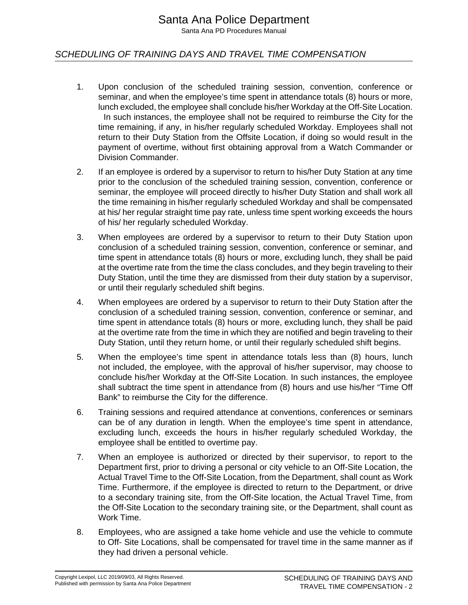# Santa Ana Police Department

Santa Ana PD Procedures Manual

#### SCHEDULING OF TRAINING DAYS AND TRAVEL TIME COMPENSATION

- 1. Upon conclusion of the scheduled training session, convention, conference or seminar, and when the employee's time spent in attendance totals (8) hours or more, lunch excluded, the employee shall conclude his/her Workday at the Off-Site Location. In such instances, the employee shall not be required to reimburse the City for the time remaining, if any, in his/her regularly scheduled Workday. Employees shall not return to their Duty Station from the Offsite Location, if doing so would result in the payment of overtime, without first obtaining approval from a Watch Commander or Division Commander.
- 2. If an employee is ordered by a supervisor to return to his/her Duty Station at any time prior to the conclusion of the scheduled training session, convention, conference or seminar, the employee will proceed directly to his/her Duty Station and shall work all the time remaining in his/her regularly scheduled Workday and shall be compensated at his/ her regular straight time pay rate, unless time spent working exceeds the hours of his/ her regularly scheduled Workday.
- 3. When employees are ordered by a supervisor to return to their Duty Station upon conclusion of a scheduled training session, convention, conference or seminar, and time spent in attendance totals (8) hours or more, excluding lunch, they shall be paid at the overtime rate from the time the class concludes, and they begin traveling to their Duty Station, until the time they are dismissed from their duty station by a supervisor, or until their regularly scheduled shift begins.
- 4. When employees are ordered by a supervisor to return to their Duty Station after the conclusion of a scheduled training session, convention, conference or seminar, and time spent in attendance totals (8) hours or more, excluding lunch, they shall be paid at the overtime rate from the time in which they are notified and begin traveling to their Duty Station, until they return home, or until their regularly scheduled shift begins.
- 5. When the employee's time spent in attendance totals less than (8) hours, lunch not included, the employee, with the approval of his/her supervisor, may choose to conclude his/her Workday at the Off-Site Location. In such instances, the employee shall subtract the time spent in attendance from (8) hours and use his/her "Time Off Bank" to reimburse the City for the difference.
- 6. Training sessions and required attendance at conventions, conferences or seminars can be of any duration in length. When the employee's time spent in attendance, excluding lunch, exceeds the hours in his/her regularly scheduled Workday, the employee shall be entitled to overtime pay.
- 7. When an employee is authorized or directed by their supervisor, to report to the Department first, prior to driving a personal or city vehicle to an Off-Site Location, the Actual Travel Time to the Off-Site Location, from the Department, shall count as Work Time. Furthermore, if the employee is directed to return to the Department, or drive to a secondary training site, from the Off-Site location, the Actual Travel Time, from the Off-Site Location to the secondary training site, or the Department, shall count as Work Time.
- 8. Employees, who are assigned a take home vehicle and use the vehicle to commute to Off- Site Locations, shall be compensated for travel time in the same manner as if they had driven a personal vehicle.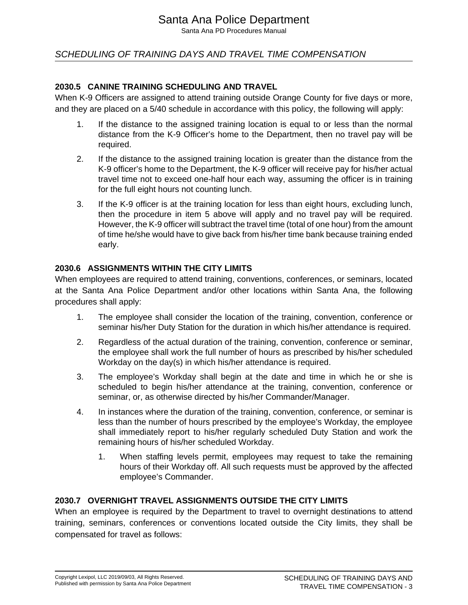# Santa Ana Police Department

Santa Ana PD Procedures Manual

## SCHEDULING OF TRAINING DAYS AND TRAVEL TIME COMPENSATION

#### **2030.5 CANINE TRAINING SCHEDULING AND TRAVEL**

When K-9 Officers are assigned to attend training outside Orange County for five days or more, and they are placed on a 5/40 schedule in accordance with this policy, the following will apply:

- 1. If the distance to the assigned training location is equal to or less than the normal distance from the K-9 Officer's home to the Department, then no travel pay will be required.
- 2. If the distance to the assigned training location is greater than the distance from the K-9 officer's home to the Department, the K-9 officer will receive pay for his/her actual travel time not to exceed one-half hour each way, assuming the officer is in training for the full eight hours not counting lunch.
- 3. If the K-9 officer is at the training location for less than eight hours, excluding lunch, then the procedure in item 5 above will apply and no travel pay will be required. However, the K-9 officer will subtract the travel time (total of one hour) from the amount of time he/she would have to give back from his/her time bank because training ended early.

#### **2030.6 ASSIGNMENTS WITHIN THE CITY LIMITS**

When employees are required to attend training, conventions, conferences, or seminars, located at the Santa Ana Police Department and/or other locations within Santa Ana, the following procedures shall apply:

- 1. The employee shall consider the location of the training, convention, conference or seminar his/her Duty Station for the duration in which his/her attendance is required.
- 2. Regardless of the actual duration of the training, convention, conference or seminar, the employee shall work the full number of hours as prescribed by his/her scheduled Workday on the day(s) in which his/her attendance is required.
- 3. The employee's Workday shall begin at the date and time in which he or she is scheduled to begin his/her attendance at the training, convention, conference or seminar, or, as otherwise directed by his/her Commander/Manager.
- 4. In instances where the duration of the training, convention, conference, or seminar is less than the number of hours prescribed by the employee's Workday, the employee shall immediately report to his/her regularly scheduled Duty Station and work the remaining hours of his/her scheduled Workday.
	- 1. When staffing levels permit, employees may request to take the remaining hours of their Workday off. All such requests must be approved by the affected employee's Commander.

#### **2030.7 OVERNIGHT TRAVEL ASSIGNMENTS OUTSIDE THE CITY LIMITS**

When an employee is required by the Department to travel to overnight destinations to attend training, seminars, conferences or conventions located outside the City limits, they shall be compensated for travel as follows: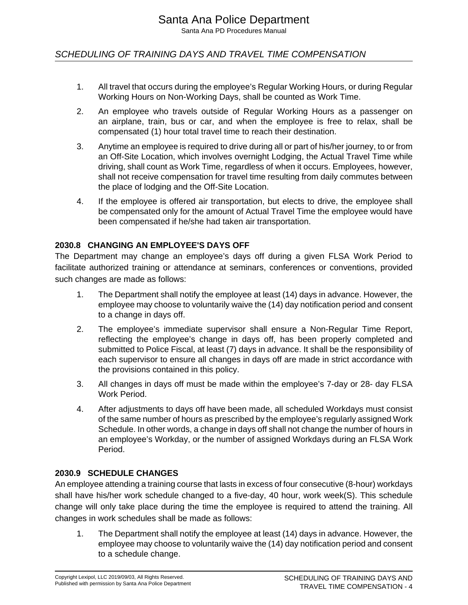## SCHEDULING OF TRAINING DAYS AND TRAVEL TIME COMPENSATION

- 1. All travel that occurs during the employee's Regular Working Hours, or during Regular Working Hours on Non-Working Days, shall be counted as Work Time.
- 2. An employee who travels outside of Regular Working Hours as a passenger on an airplane, train, bus or car, and when the employee is free to relax, shall be compensated (1) hour total travel time to reach their destination.
- 3. Anytime an employee is required to drive during all or part of his/her journey, to or from an Off-Site Location, which involves overnight Lodging, the Actual Travel Time while driving, shall count as Work Time, regardless of when it occurs. Employees, however, shall not receive compensation for travel time resulting from daily commutes between the place of lodging and the Off-Site Location.
- 4. If the employee is offered air transportation, but elects to drive, the employee shall be compensated only for the amount of Actual Travel Time the employee would have been compensated if he/she had taken air transportation.

#### **2030.8 CHANGING AN EMPLOYEE'S DAYS OFF**

The Department may change an employee's days off during a given FLSA Work Period to facilitate authorized training or attendance at seminars, conferences or conventions, provided such changes are made as follows:

- 1. The Department shall notify the employee at least (14) days in advance. However, the employee may choose to voluntarily waive the (14) day notification period and consent to a change in days off.
- 2. The employee's immediate supervisor shall ensure a Non-Regular Time Report, reflecting the employee's change in days off, has been properly completed and submitted to Police Fiscal, at least (7) days in advance. It shall be the responsibility of each supervisor to ensure all changes in days off are made in strict accordance with the provisions contained in this policy.
- 3. All changes in days off must be made within the employee's 7-day or 28- day FLSA Work Period.
- 4. After adjustments to days off have been made, all scheduled Workdays must consist of the same number of hours as prescribed by the employee's regularly assigned Work Schedule. In other words, a change in days off shall not change the number of hours in an employee's Workday, or the number of assigned Workdays during an FLSA Work Period.

#### **2030.9 SCHEDULE CHANGES**

An employee attending a training course that lasts in excess of four consecutive (8-hour) workdays shall have his/her work schedule changed to a five-day, 40 hour, work week(S). This schedule change will only take place during the time the employee is required to attend the training. All changes in work schedules shall be made as follows:

1. The Department shall notify the employee at least (14) days in advance. However, the employee may choose to voluntarily waive the (14) day notification period and consent to a schedule change.